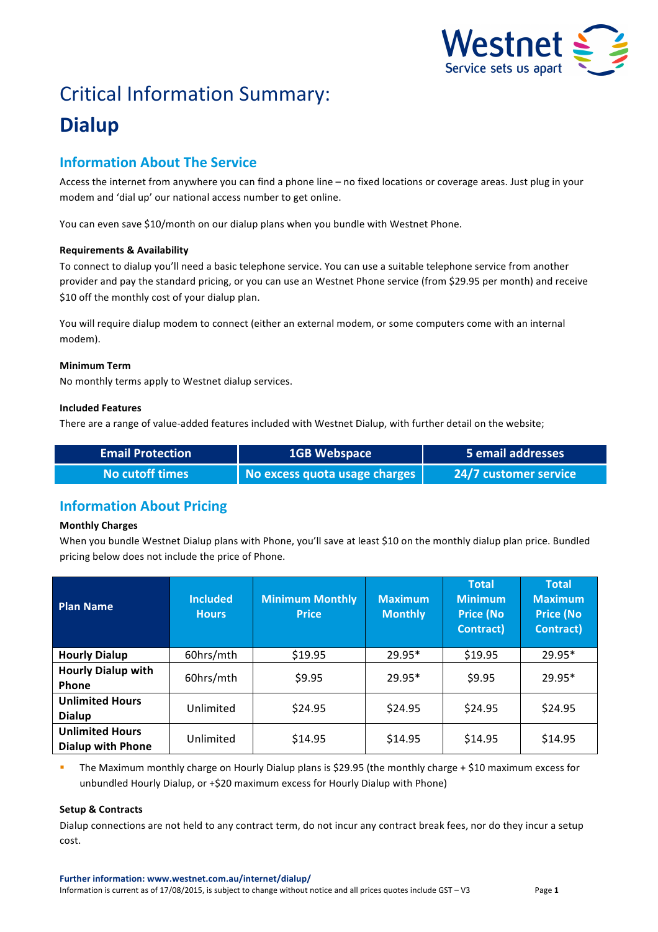

# Critical Information Summary: **Dialup**

## **Information About The Service**

Access the internet from anywhere you can find a phone line – no fixed locations or coverage areas. Just plug in your modem and 'dial up' our national access number to get online.

You can even save \$10/month on our dialup plans when you bundle with Westnet Phone.

#### **Requirements & Availability**

To connect to dialup you'll need a basic telephone service. You can use a suitable telephone service from another provider and pay the standard pricing, or you can use an Westnet Phone service (from \$29.95 per month) and receive \$10 off the monthly cost of your dialup plan.

You will require dialup modem to connect (either an external modem, or some computers come with an internal modem).

#### **Minimum Term**

No monthly terms apply to Westnet dialup services.

#### **Included Features**

There are a range of value-added features included with Westnet Dialup, with further detail on the website;

| <b>Email Protection ا</b> | 1GB Webspace                  | 5 email addresses     |
|---------------------------|-------------------------------|-----------------------|
| No cutoff times <b>\</b>  | No excess quota usage charges | 24/7 customer service |

### **Information About Pricing**

#### **Monthly Charges**

When you bundle Westnet Dialup plans with Phone, you'll save at least \$10 on the monthly dialup plan price. Bundled pricing below does not include the price of Phone.

| <b>Plan Name</b>                                   | <b>Included</b><br><b>Hours</b> | <b>Minimum Monthly</b><br><b>Price</b> | <b>Maximum</b><br><b>Monthly</b> | <b>Total</b><br><b>Minimum</b><br><b>Price (No</b><br><b>Contract</b> ) | <b>Total</b><br><b>Maximum</b><br><b>Price (No</b><br><b>Contract)</b> |
|----------------------------------------------------|---------------------------------|----------------------------------------|----------------------------------|-------------------------------------------------------------------------|------------------------------------------------------------------------|
| <b>Hourly Dialup</b>                               | 60hrs/mth                       | \$19.95                                | $29.95*$                         | \$19.95                                                                 | $29.95*$                                                               |
| <b>Hourly Dialup with</b><br>Phone                 | 60hrs/mth                       | \$9.95                                 | $29.95*$                         | \$9.95                                                                  | $29.95*$                                                               |
| <b>Unlimited Hours</b><br>Dialup                   | Unlimited                       | \$24.95                                | \$24.95                          | \$24.95                                                                 | \$24.95                                                                |
| <b>Unlimited Hours</b><br><b>Dialup with Phone</b> | Unlimited                       | \$14.95                                | \$14.95                          | \$14.95                                                                 | \$14.95                                                                |

The Maximum monthly charge on Hourly Dialup plans is \$29.95 (the monthly charge + \$10 maximum excess for unbundled Hourly Dialup, or +\$20 maximum excess for Hourly Dialup with Phone)

#### **Setup & Contracts**

Dialup connections are not held to any contract term, do not incur any contract break fees, nor do they incur a setup cost.